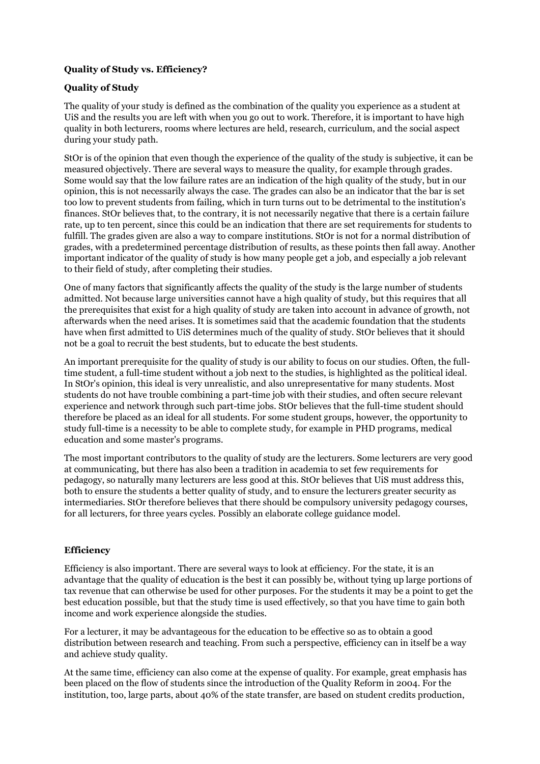# **Quality of Study vs. Efficiency?**

## **Quality of Study**

The quality of your study is defined as the combination of the quality you experience as a student at UiS and the results you are left with when you go out to work. Therefore, it is important to have high quality in both lecturers, rooms where lectures are held, research, curriculum, and the social aspect during your study path.

StOr is of the opinion that even though the experience of the quality of the study is subjective, it can be measured objectively. There are several ways to measure the quality, for example through grades. Some would say that the low failure rates are an indication of the high quality of the study, but in our opinion, this is not necessarily always the case. The grades can also be an indicator that the bar is set too low to prevent students from failing, which in turn turns out to be detrimental to the institution's finances. StOr believes that, to the contrary, it is not necessarily negative that there is a certain failure rate, up to ten percent, since this could be an indication that there are set requirements for students to fulfill. The grades given are also a way to compare institutions. StOr is not for a normal distribution of grades, with a predetermined percentage distribution of results, as these points then fall away. Another important indicator of the quality of study is how many people get a job, and especially a job relevant to their field of study, after completing their studies.

One of many factors that significantly affects the quality of the study is the large number of students admitted. Not because large universities cannot have a high quality of study, but this requires that all the prerequisites that exist for a high quality of study are taken into account in advance of growth, not afterwards when the need arises. It is sometimes said that the academic foundation that the students have when first admitted to UiS determines much of the quality of study. StOr believes that it should not be a goal to recruit the best students, but to educate the best students.

An important prerequisite for the quality of study is our ability to focus on our studies. Often, the fulltime student, a full-time student without a job next to the studies, is highlighted as the political ideal. In StOr's opinion, this ideal is very unrealistic, and also unrepresentative for many students. Most students do not have trouble combining a part-time job with their studies, and often secure relevant experience and network through such part-time jobs. StOr believes that the full-time student should therefore be placed as an ideal for all students. For some student groups, however, the opportunity to study full-time is a necessity to be able to complete study, for example in PHD programs, medical education and some master's programs.

The most important contributors to the quality of study are the lecturers. Some lecturers are very good at communicating, but there has also been a tradition in academia to set few requirements for pedagogy, so naturally many lecturers are less good at this. StOr believes that UiS must address this, both to ensure the students a better quality of study, and to ensure the lecturers greater security as intermediaries. StOr therefore believes that there should be compulsory university pedagogy courses, for all lecturers, for three years cycles. Possibly an elaborate college guidance model.

## **Efficiency**

Efficiency is also important. There are several ways to look at efficiency. For the state, it is an advantage that the quality of education is the best it can possibly be, without tying up large portions of tax revenue that can otherwise be used for other purposes. For the students it may be a point to get the best education possible, but that the study time is used effectively, so that you have time to gain both income and work experience alongside the studies.

For a lecturer, it may be advantageous for the education to be effective so as to obtain a good distribution between research and teaching. From such a perspective, efficiency can in itself be a way and achieve study quality.

At the same time, efficiency can also come at the expense of quality. For example, great emphasis has been placed on the flow of students since the introduction of the Quality Reform in 2004. For the institution, too, large parts, about 40% of the state transfer, are based on student credits production,